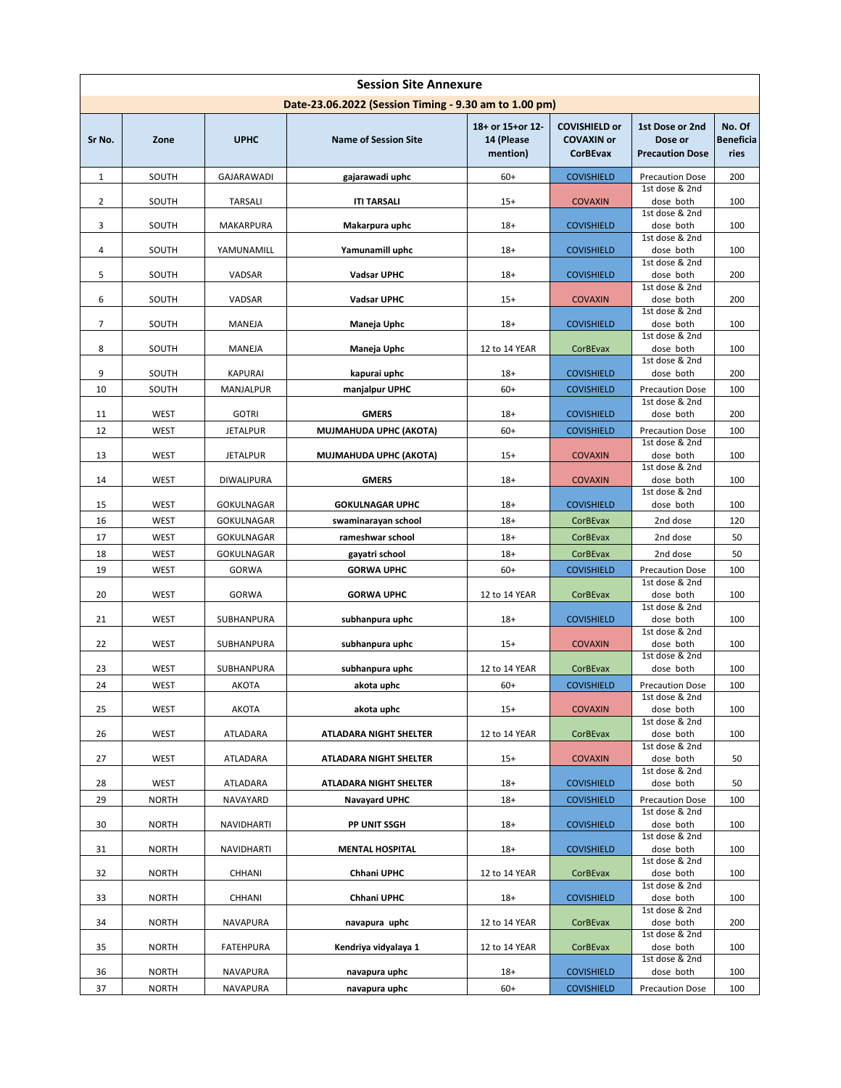| <b>Session Site Annexure</b>                          |              |                  |                             |                                            |                                                              |                                                      |                                    |  |  |  |  |  |
|-------------------------------------------------------|--------------|------------------|-----------------------------|--------------------------------------------|--------------------------------------------------------------|------------------------------------------------------|------------------------------------|--|--|--|--|--|
| Date-23.06.2022 (Session Timing - 9.30 am to 1.00 pm) |              |                  |                             |                                            |                                                              |                                                      |                                    |  |  |  |  |  |
| Sr No.                                                | Zone         | <b>UPHC</b>      | <b>Name of Session Site</b> | 18+ or 15+or 12-<br>14 (Please<br>mention) | <b>COVISHIELD or</b><br><b>COVAXIN or</b><br><b>CorBEvax</b> | 1st Dose or 2nd<br>Dose or<br><b>Precaution Dose</b> | No. Of<br><b>Beneficia</b><br>ries |  |  |  |  |  |
| $\mathbf{1}$                                          | SOUTH        | GAJARAWADI       | gajarawadi uphc             | $60+$                                      | <b>COVISHIELD</b>                                            | <b>Precaution Dose</b><br>1st dose & 2nd             | 200                                |  |  |  |  |  |
| 2                                                     | SOUTH        | <b>TARSALI</b>   | <b>ITI TARSALI</b>          | $15+$                                      | <b>COVAXIN</b>                                               | dose both                                            | 100                                |  |  |  |  |  |
| 3                                                     | SOUTH        | MAKARPURA        | Makarpura uphc              | $18+$                                      | <b>COVISHIELD</b>                                            | 1st dose & 2nd<br>dose both                          | 100                                |  |  |  |  |  |
| 4                                                     | SOUTH        | YAMUNAMILL       | Yamunamill uphc             | $18+$                                      | <b>COVISHIELD</b>                                            | 1st dose & 2nd<br>dose both<br>1st dose & 2nd        | 100                                |  |  |  |  |  |
| 5                                                     | SOUTH        | VADSAR           | <b>Vadsar UPHC</b>          | $18+$                                      | <b>COVISHIELD</b>                                            | dose both                                            | 200                                |  |  |  |  |  |
| 6                                                     | SOUTH        | VADSAR           | <b>Vadsar UPHC</b>          | $15+$                                      | <b>COVAXIN</b>                                               | 1st dose & 2nd<br>dose both                          | 200                                |  |  |  |  |  |
| $\overline{7}$                                        | SOUTH        | MANEJA           | Maneja Uphc                 | $18+$                                      | <b>COVISHIELD</b>                                            | 1st dose & 2nd<br>dose both                          | 100                                |  |  |  |  |  |
| 8                                                     | SOUTH        | MANEJA           | Maneja Uphc                 | 12 to 14 YEAR                              | CorBEvax                                                     | 1st dose & 2nd<br>dose both                          | 100                                |  |  |  |  |  |
| 9                                                     | SOUTH        | <b>KAPURAI</b>   | kapurai uphc                | $18+$                                      | <b>COVISHIELD</b>                                            | 1st dose & 2nd<br>dose both                          | 200                                |  |  |  |  |  |
| 10                                                    | SOUTH        | MANJALPUR        | manjalpur UPHC              | $60+$                                      | <b>COVISHIELD</b>                                            | <b>Precaution Dose</b>                               | 100                                |  |  |  |  |  |
| 11                                                    | WEST         | <b>GOTRI</b>     | <b>GMERS</b>                | $18+$                                      | <b>COVISHIELD</b>                                            | 1st dose & 2nd<br>dose both                          | 200                                |  |  |  |  |  |
| 12                                                    | WEST         | <b>JETALPUR</b>  | MUJMAHUDA UPHC (AKOTA)      | $60+$                                      | <b>COVISHIELD</b>                                            | <b>Precaution Dose</b>                               | 100                                |  |  |  |  |  |
| 13                                                    | WEST         | <b>JETALPUR</b>  | MUJMAHUDA UPHC (AKOTA)      | $15+$                                      | <b>COVAXIN</b>                                               | 1st dose & 2nd<br>dose both                          | 100                                |  |  |  |  |  |
| 14                                                    | WEST         | DIWALIPURA       | <b>GMERS</b>                | $18+$                                      | <b>COVAXIN</b>                                               | 1st dose & 2nd<br>dose both<br>1st dose & 2nd        | 100                                |  |  |  |  |  |
| 15                                                    | WEST         | GOKULNAGAR       | <b>GOKULNAGAR UPHC</b>      | $18+$                                      | <b>COVISHIELD</b>                                            | dose both                                            | 100                                |  |  |  |  |  |
| 16                                                    | WEST         | GOKULNAGAR       | swaminarayan school         | $18+$                                      | CorBEvax                                                     | 2nd dose                                             | 120                                |  |  |  |  |  |
| 17                                                    | WEST         | GOKULNAGAR       | rameshwar school            | $18+$                                      | CorBEvax                                                     | 2nd dose                                             | 50                                 |  |  |  |  |  |
| 18                                                    | WEST         | GOKULNAGAR       | gayatri school              | $18+$                                      | CorBEvax                                                     | 2nd dose                                             | 50                                 |  |  |  |  |  |
| 19                                                    | WEST         | GORWA            | <b>GORWA UPHC</b>           | $60+$                                      | <b>COVISHIELD</b>                                            | <b>Precaution Dose</b><br>1st dose & 2nd             | 100                                |  |  |  |  |  |
| 20                                                    | WEST         | <b>GORWA</b>     | <b>GORWA UPHC</b>           | 12 to 14 YEAR                              | CorBEvax                                                     | dose both<br>1st dose & 2nd                          | 100                                |  |  |  |  |  |
| 21                                                    | WEST         | SUBHANPURA       | subhanpura uphc             | $18+$                                      | <b>COVISHIELD</b>                                            | dose both<br>1st dose & 2nd                          | 100                                |  |  |  |  |  |
| 22                                                    | WEST         | SUBHANPURA       | subhanpura uphc             | $15+$                                      | <b>COVAXIN</b>                                               | dose both<br>1st dose & 2nd                          | 100                                |  |  |  |  |  |
| 23                                                    | <b>WEST</b>  | SUBHANPURA       | subhanpura uphc             | 12 to 14 YEAR                              | CorBEvax                                                     | dose both                                            | 100                                |  |  |  |  |  |
| 24                                                    | WEST         | AKOTA            | akota uphc                  | $60+$                                      | <b>COVISHIELD</b>                                            | <b>Precaution Dose</b>                               | 100                                |  |  |  |  |  |
| 25                                                    | WEST         | АКОТА            | akota uphc                  | $15+$                                      | <b>COVAXIN</b>                                               | 1st dose & 2nd<br>dose both<br>1st dose & 2nd        | 100                                |  |  |  |  |  |
| 26                                                    | WEST         | ATLADARA         | ATLADARA NIGHT SHELTER      | 12 to 14 YEAR                              | CorBEvax                                                     | dose both                                            | 100                                |  |  |  |  |  |
| 27                                                    | WEST         | ATLADARA         | ATLADARA NIGHT SHELTER      | $15+$                                      | <b>COVAXIN</b>                                               | 1st dose & 2nd<br>dose both                          | 50                                 |  |  |  |  |  |
| 28                                                    | WEST         | ATLADARA         | ATLADARA NIGHT SHELTER      | $18+$                                      | <b>COVISHIELD</b>                                            | 1st dose & 2nd<br>dose both                          | 50                                 |  |  |  |  |  |
| 29                                                    | <b>NORTH</b> | NAVAYARD         | <b>Navayard UPHC</b>        | $18+$                                      | <b>COVISHIELD</b>                                            | <b>Precaution Dose</b>                               | 100                                |  |  |  |  |  |
| 30                                                    | <b>NORTH</b> | NAVIDHARTI       | PP UNIT SSGH                | $18+$                                      | <b>COVISHIELD</b>                                            | 1st dose & 2nd<br>dose both                          | 100                                |  |  |  |  |  |
| 31                                                    | <b>NORTH</b> | NAVIDHARTI       | <b>MENTAL HOSPITAL</b>      | $18+$                                      | <b>COVISHIELD</b>                                            | 1st dose & 2nd<br>dose both                          | 100                                |  |  |  |  |  |
| 32                                                    | <b>NORTH</b> | CHHANI           | Chhani UPHC                 | 12 to 14 YEAR                              | CorBEvax                                                     | 1st dose & 2nd<br>dose both                          | 100                                |  |  |  |  |  |
| 33                                                    | <b>NORTH</b> | CHHANI           | Chhani UPHC                 | $18+$                                      | <b>COVISHIELD</b>                                            | 1st dose & 2nd<br>dose both                          | 100                                |  |  |  |  |  |
| 34                                                    | <b>NORTH</b> | NAVAPURA         | navapura uphc               | 12 to 14 YEAR                              | CorBEvax                                                     | 1st dose & 2nd<br>dose both                          | 200                                |  |  |  |  |  |
| 35                                                    | <b>NORTH</b> | <b>FATEHPURA</b> | Kendriya vidyalaya 1        | 12 to 14 YEAR                              | CorBEvax                                                     | 1st dose & 2nd<br>dose both                          | 100                                |  |  |  |  |  |
| 36                                                    | <b>NORTH</b> | NAVAPURA         | navapura uphc               | $18+$                                      | <b>COVISHIELD</b>                                            | 1st dose & 2nd<br>dose both                          | 100                                |  |  |  |  |  |
| 37                                                    | <b>NORTH</b> | NAVAPURA         | navapura uphc               | $60+$                                      | <b>COVISHIELD</b>                                            | <b>Precaution Dose</b>                               | 100                                |  |  |  |  |  |